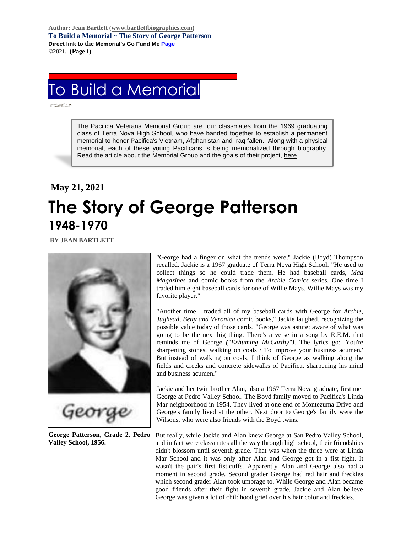**Author: Jean Bartlett [\(www.bartlettbiographies.com\)](http://www.bartlettbiographies.com/) To Build a Memorial ~ The Story of George Patterson Direct link to the Memorial's Go Fund M[e Page](https://www.gofundme.com/f/uyf8r-25000?utm_source=customer&utm_medium=copy_link-tip&utm_campaign=p_cp+share-sheet) ©2021. (Page 1)**

## To Build a Memorial

The Pacifica Veterans Memorial Group are four classmates from the 1969 graduating class of Terra Nova High School, who have banded together to establish a permanent memorial to honor Pacifica's Vietnam, Afghanistan and Iraq fallen. Along with a physical memorial, each of these young Pacificans is being memorialized through biography. Read the article about the Memorial Group and the goals of their project, [here.](https://46d14119-b42d-469c-887f-083db2a10fe7.filesusr.com/ugd/5ea9c3_694b61f9c88d4750bf1a520233e8f35f.pdf)

## **May 21, 2021 The Story of George Patterson 1948-1970**

**BY JEAN BARTLETT** 



**George Patterson, Grade 2, Pedro Valley School, 1956.**

"George had a finger on what the trends were," Jackie (Boyd) Thompson recalled. Jackie is a 1967 graduate of Terra Nova High School. "He used to collect things so he could trade them. He had baseball cards, *Mad Magazines* and comic books from the *Archie Comics* series. One time I traded him eight baseball cards for one of Willie Mays. Willie Mays was my favorite player."

"Another time I traded all of my baseball cards with George for *Archie, Jughead, Betty and Veronica* comic books," Jackie laughed, recognizing the possible value today of those cards. "George was astute; aware of what was going to be the next big thing. There's a verse in a song by R.E.M. that reminds me of George *("Exhuming McCarthy")*. The lyrics go: 'You're sharpening stones, walking on coals / To improve your business acumen.' But instead of walking on coals, I think of George as walking along the fields and creeks and concrete sidewalks of Pacifica, sharpening his mind and business acumen."

Jackie and her twin brother Alan, also a 1967 Terra Nova graduate, first met George at Pedro Valley School. The Boyd family moved to Pacifica's Linda Mar neighborhood in 1954. They lived at one end of Montezuma Drive and George's family lived at the other. Next door to George's family were the Wilsons, who were also friends with the Boyd twins.

But really, while Jackie and Alan knew George at San Pedro Valley School, and in fact were classmates all the way through high school, their friendships didn't blossom until seventh grade. That was when the three were at Linda Mar School and it was only after Alan and George got in a fist fight. It wasn't the pair's first fisticuffs. Apparently Alan and George also had a moment in second grade. Second grader George had red hair and freckles which second grader Alan took umbrage to. While George and Alan became good friends after their fight in seventh grade, Jackie and Alan believe George was given a lot of childhood grief over his hair color and freckles.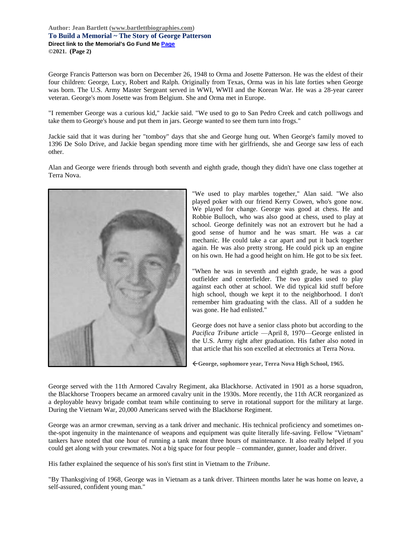## **Author: Jean Bartlett [\(www.bartlettbiographies.com\)](http://www.bartlettbiographies.com/) To Build a Memorial ~ The Story of George Patterson Direct link to the Memorial's Go Fund M[e Page](https://www.gofundme.com/f/uyf8r-25000?utm_source=customer&utm_medium=copy_link-tip&utm_campaign=p_cp+share-sheet) ©2021. (Page 2)**

George Francis Patterson was born on December 26, 1948 to Orma and Josette Patterson. He was the eldest of their four children: George, Lucy, Robert and Ralph. Originally from Texas, Orma was in his late forties when George was born. The U.S. Army Master Sergeant served in WWI, WWII and the Korean War. He was a 28-year career veteran. George's mom Josette was from Belgium. She and Orma met in Europe.

"I remember George was a curious kid," Jackie said. "We used to go to San Pedro Creek and catch polliwogs and take them to George's house and put them in jars. George wanted to see them turn into frogs."

Jackie said that it was during her "tomboy" days that she and George hung out. When George's family moved to 1396 De Solo Drive, and Jackie began spending more time with her girlfriends, she and George saw less of each other.

Alan and George were friends through both seventh and eighth grade, though they didn't have one class together at Terra Nova.



"We used to play marbles together," Alan said. "We also played poker with our friend Kerry Cowen, who's gone now. We played for change. George was good at chess. He and Robbie Bulloch, who was also good at chess, used to play at school. George definitely was not an extrovert but he had a good sense of humor and he was smart. He was a car mechanic. He could take a car apart and put it back together again. He was also pretty strong. He could pick up an engine on his own. He had a good height on him. He got to be six feet.

"When he was in seventh and eighth grade, he was a good outfielder and centerfielder. The two grades used to play against each other at school. We did typical kid stuff before high school, though we kept it to the neighborhood. I don't remember him graduating with the class. All of a sudden he was gone. He had enlisted."

George does not have a senior class photo but according to the *Pacifica Tribune* article —April 8, 1970—George enlisted in the U.S. Army right after graduation. His father also noted in that article that his son excelled at electronics at Terra Nova.

**George, sophomore year, Terra Nova High School, 1965.**

George served with the 11th Armored Cavalry Regiment, aka Blackhorse. Activated in 1901 as a horse squadron, the Blackhorse Troopers became an armored cavalry unit in the 1930s. More recently, the 11th ACR reorganized as a deployable heavy brigade combat team while continuing to serve in rotational support for the military at large. During the Vietnam War, 20,000 Americans served with the Blackhorse Regiment.

George was an armor crewman, serving as a tank driver and mechanic. His technical proficiency and sometimes onthe-spot ingenuity in the maintenance of weapons and equipment was quite literally life-saving. Fellow "Vietnam" tankers have noted that one hour of running a tank meant three hours of maintenance. It also really helped if you could get along with your crewmates. Not a big space for four people – commander, gunner, loader and driver.

His father explained the sequence of his son's first stint in Vietnam to the *Tribune*.

"By Thanksgiving of 1968, George was in Vietnam as a tank driver. Thirteen months later he was home on leave, a self-assured, confident young man."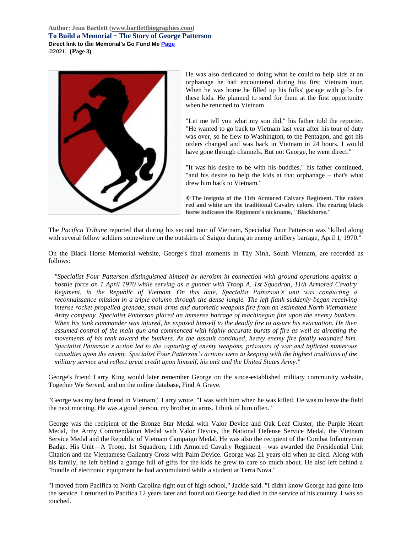**Author: Jean Bartlett [\(www.bartlettbiographies.com\)](http://www.bartlettbiographies.com/) To Build a Memorial ~ The Story of George Patterson Direct link to the Memorial's Go Fund M[e Page](https://www.gofundme.com/f/uyf8r-25000?utm_source=customer&utm_medium=copy_link-tip&utm_campaign=p_cp+share-sheet) ©2021. (Page 3)**



He was also dedicated to doing what he could to help kids at an orphanage he had encountered during his first Vietnam tour. When he was home he filled up his folks' garage with gifts for these kids. He planned to send for them at the first opportunity when he returned to Vietnam.

"Let me tell you what my son did," his father told the reporter. "He wanted to go back to Vietnam last year after his tour of duty was over, so he flew to Washington, to the Pentagon, and got his orders changed and was back in Vietnam in 24 hours. I would have gone through channels. But not George, he went direct."

"It was his desire to be with his buddies," his father continued, "and his desire to help the kids at that orphanage – that's what drew him back to Vietnam."

**The insignia of the 11th Armored Calvary Regiment. The colors red and white are the traditional Cavalry colors. The rearing black horse indicates the Regiment's nickname, "Blackhorse."**

The *Pacifica Tribune* reported that during his second tour of Vietnam, Specialist Four Patterson was "killed along with several fellow soldiers somewhere on the outskirts of Saigon during an enemy artillery barrage, April 1, 1970."

On the Black Horse Memorial website, George's final moments in Tây Ninh, South Vietnam, are recorded as follows:

*"Specialist Four Patterson distinguished himself by heroism in connection with ground operations against a hostile force on 1 April 1970 while serving as a gunner with Troop A, 1st Squadron, 11th Armored Cavalry Regiment, in the Republic of Vietnam. On this date, Specialist Patterson's unit was conducting a reconnaissance mission in a triple column through the dense jungle. The left flank suddenly began receiving intense rocket-propelled grenade, small arms and automatic weapons fire from an estimated North Vietnamese Army company. Specialist Patterson placed an immense barrage of machinegun fire upon the enemy bunkers. When his tank commander was injured, he exposed himself to the deadly fire to assure his evacuation. He then assumed control of the main gun and commenced with highly accurate bursts of fire as well as directing the movements of his tank toward the bunkers. As the assault continued, heavy enemy fire fatally wounded him. Specialist Patterson's action led to the capturing of enemy weapons, prisoners of war and inflicted numerous casualties upon the enemy. Specialist Four Patterson's actions were in keeping with the highest traditions of the military service and reflect great credit upon himself, his unit and the United States Army."*

George's friend Larry King would later remember George on the since-established military community website, Together We Served, and on the online database, Find A Grave.

"George was my best friend in Vietnam," Larry wrote. "I was with him when he was killed. He was to leave the field the next morning. He was a good person, my brother in arms. I think of him often."

George was the recipient of the Bronze Star Medal with Valor Device and Oak Leaf Cluster, the Purple Heart Medal, the Army Commendation Medal with Valor Device, the National Defense Service Medal, the Vietnam Service Medal and the Republic of Vietnam Campaign Medal. He was also the recipient of the Combat Infantryman Badge. His Unit—A Troop, 1st Squadron, 11th Armored Cavalry Regiment—was awarded the Presidential Unit Citation and the Vietnamese Gallantry Cross with Palm Device. George was 21 years old when he died. Along with his family, he left behind a garage full of gifts for the kids he grew to care so much about. He also left behind a "bundle of electronic equipment he had accumulated while a student at Terra Nova."

"I moved from Pacifica to North Carolina right out of high school," Jackie said. "I didn't know George had gone into the service. I returned to Pacifica 12 years later and found out George had died in the service of his country. I was so touched.